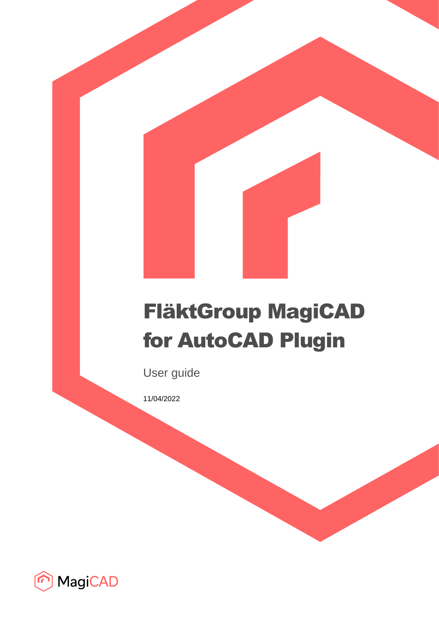# FläktGroup MagiCAD for AutoCAD Plugin

User guide

11/04/2022

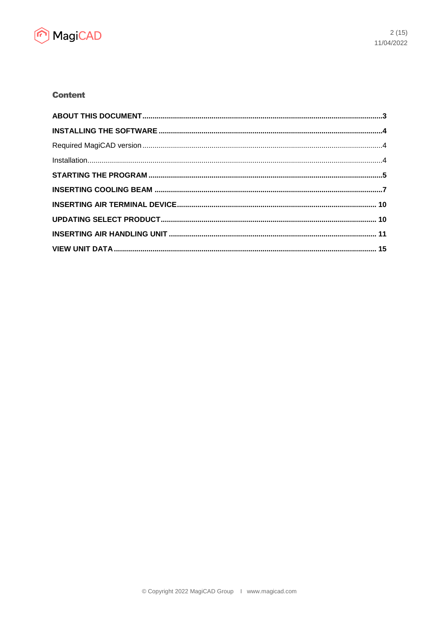

# **Content**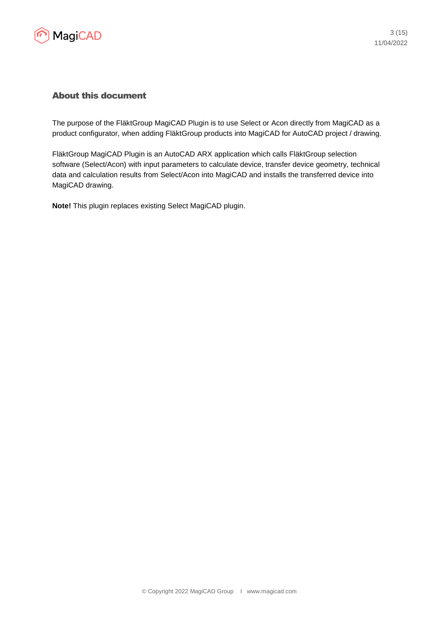

## About this document

The purpose of the FläktGroup MagiCAD Plugin is to use Select or Acon directly from MagiCAD as a product configurator, when adding FläktGroup products into MagiCAD for AutoCAD project / drawing.

FläktGroup MagiCAD Plugin is an AutoCAD ARX application which calls FläktGroup selection software (Select/Acon) with input parameters to calculate device, transfer device geometry, technical data and calculation results from Select/Acon into MagiCAD and installs the transferred device into MagiCAD drawing.

**Note!** This plugin replaces existing Select MagiCAD plugin.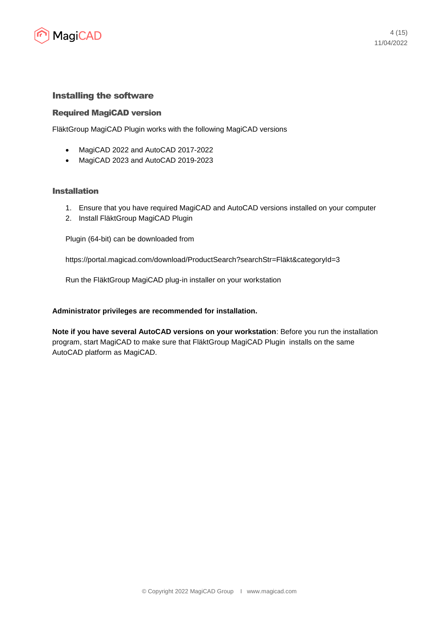

### Installing the software

#### Required MagiCAD version

FläktGroup MagiCAD Plugin works with the following MagiCAD versions

- MagiCAD 2022 and AutoCAD 2017-2022
- MagiCAD 2023 and AutoCAD 2019-2023

#### Installation

- 1. Ensure that you have required MagiCAD and AutoCAD versions installed on your computer
- 2. Install FläktGroup MagiCAD Plugin

Plugin (64-bit) can be downloaded from

https://portal.magicad.com/download/ProductSearch?searchStr=Fläkt&categoryId=3

Run the FläktGroup MagiCAD plug-in installer on your workstation

#### **Administrator privileges are recommended for installation.**

**Note if you have several AutoCAD versions on your workstation**: Before you run the installation program, start MagiCAD to make sure that FläktGroup MagiCAD Plugin installs on the same AutoCAD platform as MagiCAD.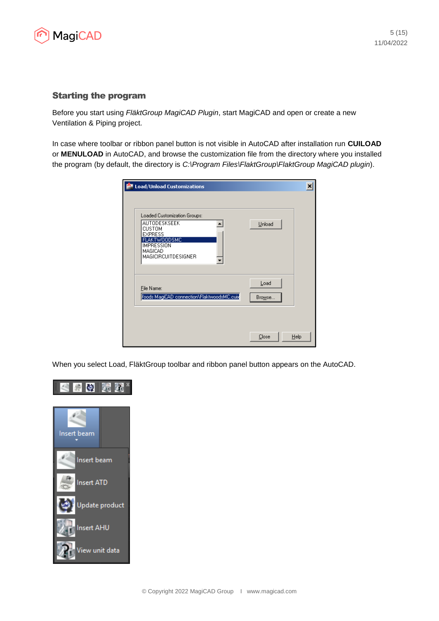

## Starting the program

Before you start using *FläktGroup MagiCAD Plugin*, start MagiCAD and open or create a new Ventilation & Piping project.

In case where toolbar or ribbon panel button is not visible in AutoCAD after installation run **CUILOAD** or **MENULOAD** in AutoCAD, and browse the customization file from the directory where you installed the program (by default, the directory is *C:\Program Files\FlaktGroup\FlaktGroup MagiCAD plugin*).

| Load/Unload Customizations                                                                                                                                    | ×              |
|---------------------------------------------------------------------------------------------------------------------------------------------------------------|----------------|
| Loaded Customization Groups:<br>AUTODESKSEEK<br><b>CUSTOM</b><br><b>EXPRESS</b><br>FLAKTWOODSMC<br><b>IMPRESSION</b><br>MAGICAD<br><b>MAGICIRCUITDESIGNER</b> | Unload         |
| File Name:<br>Voods MagiCAD connection\FlaktwoodsMC.cuix                                                                                                      | Load<br>Browse |
|                                                                                                                                                               | Close<br>Help  |

When you select Load, FläktGroup toolbar and ribbon panel button appears on the AutoCAD.

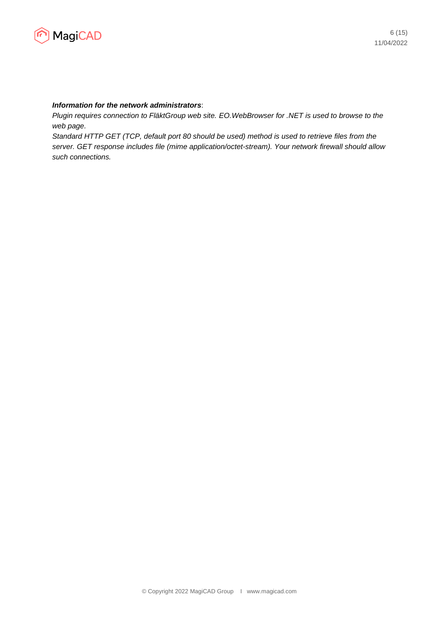

#### *Information for the network administrators*:

*Plugin requires connection to FläktGroup web site. EO.WebBrowser for .NET is used to browse to the web page.*

*Standard HTTP GET (TCP, default port 80 should be used) method is used to retrieve files from the server. GET response includes file (mime application/octet-stream). Your network firewall should allow such connections.*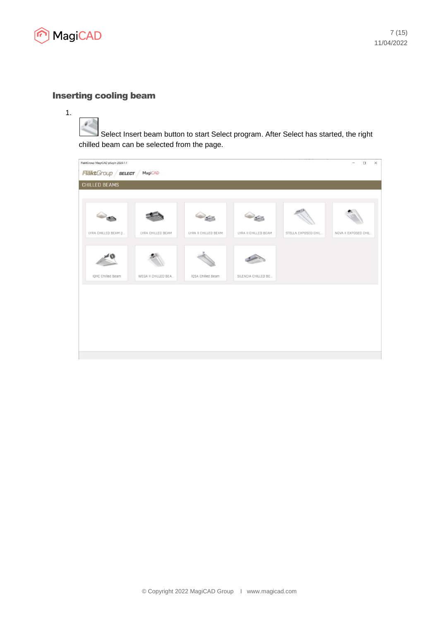

#### Inserting cooling beam

Select Insert beam button to start Select program. After Select has started, the right chilled beam can be selected from the page.

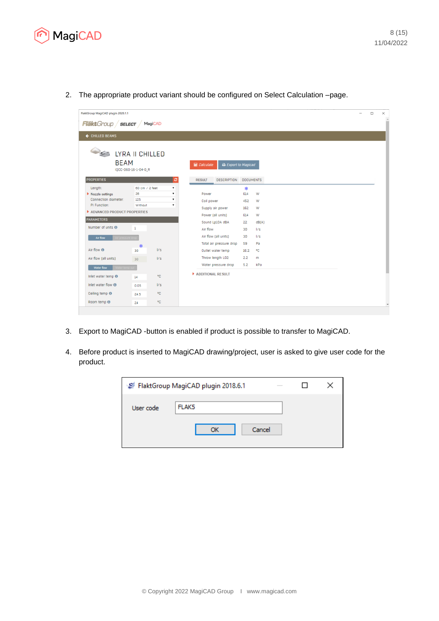

2. The appropriate product variant should be configured on Select Calculation –page.

| FlaktGroup MagiCAD plugin 2020.1.1       |                      |     |                    |                            |                  |       |  |  |  |
|------------------------------------------|----------------------|-----|--------------------|----------------------------|------------------|-------|--|--|--|
| <b>Fläkt</b> Group <b>select</b> MagicAD |                      |     |                    |                            |                  |       |  |  |  |
| ← CHILLED BEAMS                          |                      |     |                    |                            |                  |       |  |  |  |
|                                          |                      |     |                    |                            |                  |       |  |  |  |
|                                          |                      |     |                    |                            |                  |       |  |  |  |
| <b>SECOND LYRA II CHILLED</b>            |                      |     |                    |                            |                  |       |  |  |  |
| <b>BEAM</b>                              |                      |     | <b>■ Calculate</b> | <b>B</b> Export to Magicad |                  |       |  |  |  |
|                                          | IQCC-060-16-1-04-0_R |     |                    |                            |                  |       |  |  |  |
| <b>PROPERTIES</b>                        |                      | ø   | <b>RESULT</b>      | <b>DESCRIPTION</b>         | <b>DOCUMENTS</b> |       |  |  |  |
| Length:                                  | 60 cm / 2 feet       |     |                    |                            | 楽                |       |  |  |  |
| Nozzle settings                          | 26                   | ۰.  | Power              |                            | 614              | W     |  |  |  |
| Connection diameter:                     | 125                  | ۰.  | Coil power         |                            | 452              | W     |  |  |  |
| PI Function:                             | Without              | ۷.  |                    | Supply air power           | 162              | W     |  |  |  |
| ADVANCED PRODUCT PROPERTIES              |                      |     |                    | Power (all units)          | 614              | W     |  |  |  |
| <b>PARAMETERS</b>                        |                      |     |                    | Sound Lp10A dBA            | 22               | dB(A) |  |  |  |
| Number of units <sup>6</sup>             | $\mathbf{1}$         |     | Air flow           |                            | 30               | 1/s   |  |  |  |
| Air flow                                 |                      |     |                    | Air flow (all units)       | 30               | 1/s   |  |  |  |
|                                          |                      |     |                    | Total air pressure drop    | 59               | Pa    |  |  |  |
| Air flow <sup>®</sup>                    | 杂<br>30              | 1/s |                    | Outlet water temp          | 16.2             | ۰c    |  |  |  |
| Air flow (all units)                     | 30                   | 1/s |                    | Throw length LO2           | 2.2              | m     |  |  |  |
|                                          |                      |     |                    | Water pressure drop        | 5.2              | kPa   |  |  |  |
| Water flow                               |                      |     | ADDITIONAL RESULT  |                            |                  |       |  |  |  |
| Inlet water temp <sup>O</sup>            | 14                   | ۰C  |                    |                            |                  |       |  |  |  |
| Inlet water flow $\boldsymbol{\Theta}$   | 0.05                 | 1/s |                    |                            |                  |       |  |  |  |
| Ceiling temp <sup>O</sup>                | 24.5                 | °€  |                    |                            |                  |       |  |  |  |
|                                          |                      | ۰C  |                    |                            |                  |       |  |  |  |

- 3. Export to MagiCAD -button is enabled if product is possible to transfer to MagiCAD.
- 4. Before product is inserted to MagiCAD drawing/project, user is asked to give user code for the product.

|           | FlaktGroup MagiCAD plugin 2018.6.1<br>$\frac{1}{2}$ |  |
|-----------|-----------------------------------------------------|--|
| User code | FLAK <sub>5</sub><br>Cancel<br>ОК                   |  |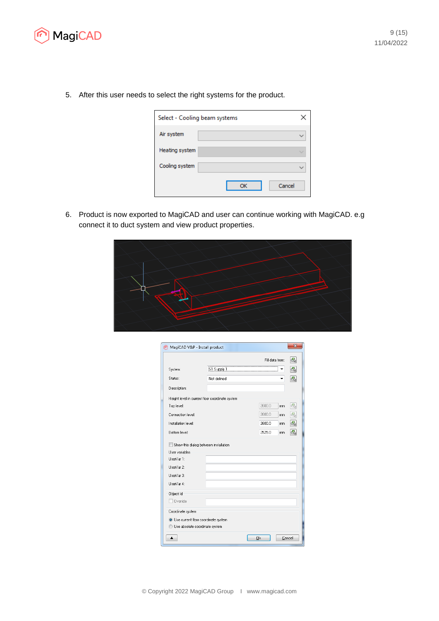

5. After this user needs to select the right systems for the product.

| Select - Cooling beam systems |    |        |
|-------------------------------|----|--------|
| Air system                    |    |        |
| Heating system                |    |        |
| Cooling system                |    |        |
|                               | OK | Cancel |

6. Product is now exported to MagiCAD and user can continue working with MagiCAD. e.g connect it to duct system and view product properties.



| MagiCAD V&P - Install product                   |             |                 | $\overline{\mathbf{x}}$   |
|-------------------------------------------------|-------------|-----------------|---------------------------|
|                                                 |             | Fill data from: | G),                       |
| System:                                         | S1 Supply 1 |                 | G)                        |
| Status:                                         | Not defined |                 | $\overline{\mathbb{G}}_a$ |
| Description:                                    |             |                 |                           |
|                                                 |             |                 |                           |
| Height level in current floor coordinate system |             |                 |                           |
| Top level:                                      |             | 2600.0          | G,<br>mm                  |
| Connection level:                               |             | 2600.0          | G,<br>mm                  |
| Installation level:                             |             | 2600.0          | G)<br>mm                  |
| Bottom level:                                   |             | 2525.0          | G)<br>mm.                 |
| Liser variables<br>Lise/Var 1:                  |             |                 |                           |
| Lise/Var 2:                                     |             |                 |                           |
| Lise/Var 3:                                     |             |                 |                           |
| Lise/Var 4:                                     |             |                 |                           |
| Object Id                                       |             |                 |                           |
| Override                                        |             |                 |                           |
| Coordinate system                               |             |                 |                           |
| O Use current floor coordinate system           |             |                 |                           |
| Use absolute coordinate system                  |             |                 |                           |
|                                                 |             | <u>Ok</u>       |                           |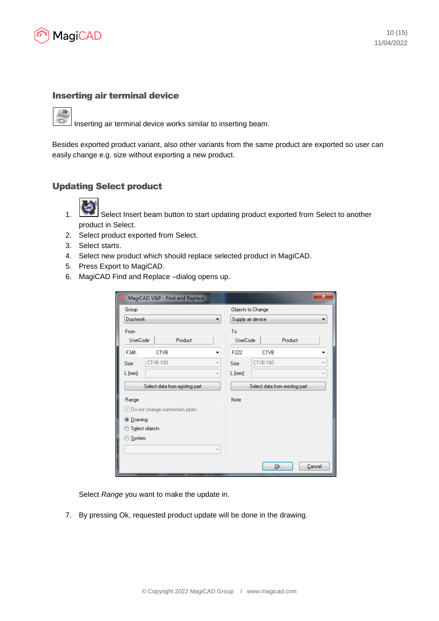

### Inserting air terminal device

Inserting air terminal device works similar to inserting beam.

Besides exported product variant, also other variants from the same product are exported so user can easily change e.g. size without exporting a new product.

## Updating Select product



- 1. Select Insert beam button to start updating product exported from Select to another product in Select.
- 2. Select product exported from Select.
- 3. Select starts.
- 4. Select new product which should replace selected product in MagiCAD.
- 5. Press Export to MagiCAD.
- 6. MagiCAD Find and Replace –dialog opens up.

| MagiCAD V&P - Find and Replace                | X                                             |
|-----------------------------------------------|-----------------------------------------------|
| Group                                         | Objects to Change                             |
| Ductwork<br>▼                                 | Supply air device                             |
| From                                          | To                                            |
| UserCode<br>Product                           | UserCode<br>Product                           |
| F34K<br><b>CTVB</b><br>▼                      | F222<br><b>CTVB</b>                           |
| CTVB-100<br>Size:<br>$\overline{\phantom{a}}$ | CTVB-160<br>$\overline{\mathcal{M}}$<br>Size: |
| $L$ [mm]:<br>$\overline{\phantom{a}}$         | $L$ [mm]:<br>$\overline{\phantom{a}}$         |
| Select data from existing part                | Select data from existing part                |
| Range                                         | Note                                          |
| √ Do not change connection pipes              |                                               |
| <b>O</b> Drawing                              |                                               |
| Select objects                                |                                               |
| System                                        |                                               |
| $\overline{\phantom{a}}$                      |                                               |
|                                               | 0k<br>Cancel                                  |

Select *Range* you want to make the update in.

7. By pressing Ok, requested product update will be done in the drawing.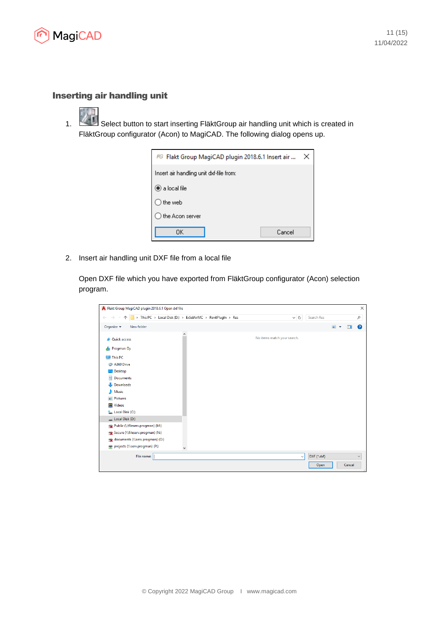

# Inserting air handling unit

1. Select button to start inserting FläktGroup air handling unit which is created in FläktGroup configurator (Acon) to MagiCAD. The following dialog opens up.

| FG Flakt Group MagiCAD plugin 2018.6.1 Insert air | $\times$ |
|---------------------------------------------------|----------|
| Insert air handling unit dxf-file from:           |          |
| $\bullet$ a local file                            |          |
| the web                                           |          |
| the Acon server                                   |          |
| 0K<br>Cancel                                      |          |

2. Insert air handling unit DXF file from a local file

Open DXF file which you have exported from FläktGroup configurator (Acon) selection program.

| > This PC > Local Disk (D:) > ExSelAirMC > RevitPlugIn > Res | Search Res<br>$\sim$ 0      | ٩            |
|--------------------------------------------------------------|-----------------------------|--------------|
| Organize v<br>New folder                                     | $\blacksquare$              | ◙<br>m       |
| $\wedge$<br><b>A</b> Quick access                            | No items match your search. |              |
| Progman Oy<br>畾                                              |                             |              |
| <b>This PC</b>                                               |                             |              |
| A360 Drive                                                   |                             |              |
| Desktop                                                      |                             |              |
| 兽<br>Documents                                               |                             |              |
| Downloads                                                    |                             |              |
| $M$ Music                                                    |                             |              |
| Pictures                                                     |                             |              |
| <b>Videos</b><br>R                                           |                             |              |
| Local Disk (C:)                                              |                             |              |
| Local Disk (D:)                                              |                             |              |
| Public (\\fileserv.progman) (M:)                             |                             |              |
| R Secure (\\fileserv.progman) (N:)                           |                             |              |
| ge documents (\\serv.progman) (O:)                           |                             |              |
| projects (\\serv.progman) (P:)                               |                             |              |
| File name:                                                   | DXF (*.dxf)<br>$\checkmark$ | $\checkmark$ |
|                                                              | Cancel<br>Open              |              |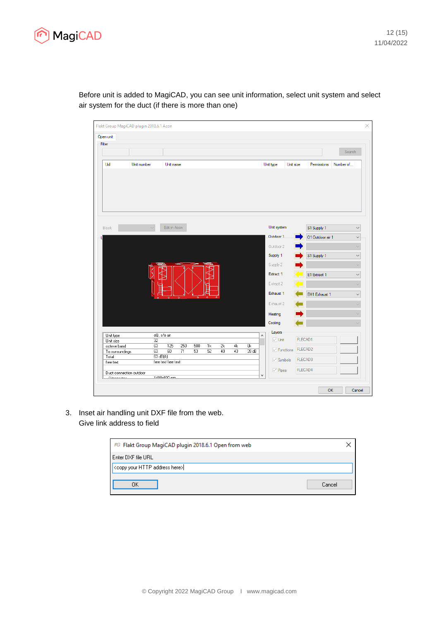

| Filter                 |             |                       |     |    |    |    |                        |                       |           |                  |           |              |
|------------------------|-------------|-----------------------|-----|----|----|----|------------------------|-----------------------|-----------|------------------|-----------|--------------|
|                        |             |                       |     |    |    |    |                        |                       |           |                  |           | Search       |
| Uid                    | Unit number | Unit name             |     |    |    |    |                        | Unit type             | Unit size | Permissions      | Number of |              |
|                        |             |                       |     |    |    |    |                        |                       |           |                  |           |              |
| <b>Block</b>           |             | Edit in Acon          |     |    |    |    |                        | Unit system           |           | S1 Supply 1      |           | $\checkmark$ |
|                        |             |                       |     |    |    |    |                        | Outdoor 1             |           | 01 Outdoor air 1 |           | $\checkmark$ |
|                        |             |                       |     |    |    |    |                        | Outdoor 2             |           |                  |           | $\checkmark$ |
|                        |             |                       |     |    |    |    |                        | Supply 1              |           | S1 Supply 1      |           | $\checkmark$ |
|                        |             |                       |     |    |    |    |                        | Supply 2              |           |                  |           | $\checkmark$ |
|                        |             |                       |     |    |    |    |                        | Extract 1             |           |                  |           |              |
|                        |             |                       |     |    |    |    |                        |                       |           | E1 Extract 1     |           | $\checkmark$ |
|                        |             |                       |     |    |    |    |                        | Extract 2             |           |                  |           | $\checkmark$ |
|                        |             | ö<br>$\mathbf{a}$     |     |    |    |    |                        | Exhaust 1             |           | EH1 Exhaust 1    |           | $\checkmark$ |
|                        |             |                       |     |    |    |    |                        | Exhaust 2             |           |                  |           | $\checkmark$ |
|                        |             |                       |     |    |    |    |                        | Heating               |           |                  |           | $\checkmark$ |
|                        |             |                       |     |    |    |    |                        | Cooling               |           |                  |           |              |
|                        |             |                       |     |    |    |    |                        | Layers                |           |                  |           |              |
| Unit type<br>Unit size | 32          | eQ, s/e air           |     |    |    |    | ٨                      | $\vee$ Unit           |           | FLECAD1          |           |              |
| octave band            | 63          | 250<br>125            | 500 | 1k | 2k | 4k | $\overline{\text{8k}}$ |                       |           |                  |           |              |
| To surroundings        | 63          | 60<br>$\overline{71}$ | 53  | 52 | 49 | 43 | 39 dB                  | $\sqrt{\ }$ Functions |           | FLECAD2          |           |              |
| Total                  | 63 dB(A)    | free text free text   |     |    |    |    |                        | $\sqrt{ }$ Symbols    |           | FLECAD3          |           |              |
| free text              |             |                       |     |    |    |    |                        |                       |           |                  |           |              |
|                        |             |                       |     |    |    |    |                        | $\vee$ Pipes          |           | FLECAD4          |           |              |

Before unit is added to MagiCAD, you can see unit information, select unit system and select air system for the duct (if there is more than one)

3. Inset air handling unit DXF file from the web. Give link address to field

| FG Flakt Group MagiCAD plugin 2018.6.1 Open from web |  |
|------------------------------------------------------|--|
| l Enter DXF file URL.                                |  |
| <copy address="" here="" http="" your=""></copy>     |  |
| ΟK<br>Cancel                                         |  |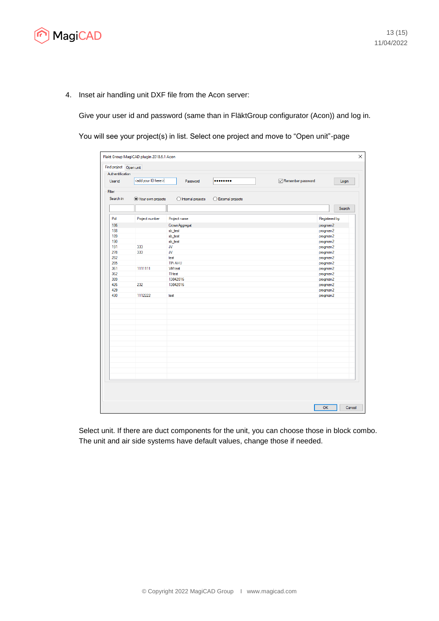

4. Inset air handling unit DXF file from the Acon server:

Give your user id and password (same than in FläktGroup configurator (Acon)) and log in.

You will see your project(s) in list. Select one project and move to "Open unit"-page

| Find project Open unit<br>Authentification |                                                     |                                                                                                                                                                              |
|--------------------------------------------|-----------------------------------------------------|------------------------------------------------------------------------------------------------------------------------------------------------------------------------------|
|                                            | Password<br>                                        | Remember password<br>Login                                                                                                                                                   |
|                                            |                                                     |                                                                                                                                                                              |
|                                            | $\bigcirc$ Internal projects<br>◯ External projects |                                                                                                                                                                              |
|                                            |                                                     | Search                                                                                                                                                                       |
| Project number                             | Project name                                        | Registered by                                                                                                                                                                |
|                                            | CrownAggregat                                       | progman2                                                                                                                                                                     |
|                                            | sb_test                                             | progman2                                                                                                                                                                     |
|                                            | sb_test                                             | progman2                                                                                                                                                                     |
|                                            | sb_test                                             | progman2                                                                                                                                                                     |
|                                            |                                                     | progman2                                                                                                                                                                     |
|                                            |                                                     | progman2                                                                                                                                                                     |
|                                            |                                                     | progman2                                                                                                                                                                     |
|                                            |                                                     | progman2                                                                                                                                                                     |
|                                            |                                                     | progman2                                                                                                                                                                     |
|                                            |                                                     | progman2                                                                                                                                                                     |
|                                            |                                                     | progman2                                                                                                                                                                     |
|                                            |                                                     | progman2                                                                                                                                                                     |
|                                            |                                                     | progman2                                                                                                                                                                     |
|                                            |                                                     | progman2                                                                                                                                                                     |
|                                            |                                                     |                                                                                                                                                                              |
|                                            |                                                     |                                                                                                                                                                              |
|                                            |                                                     |                                                                                                                                                                              |
|                                            |                                                     |                                                                                                                                                                              |
|                                            |                                                     |                                                                                                                                                                              |
|                                            |                                                     |                                                                                                                                                                              |
|                                            |                                                     |                                                                                                                                                                              |
|                                            |                                                     |                                                                                                                                                                              |
|                                            |                                                     |                                                                                                                                                                              |
|                                            |                                                     |                                                                                                                                                                              |
|                                            |                                                     |                                                                                                                                                                              |
|                                            |                                                     |                                                                                                                                                                              |
|                                            |                                                     |                                                                                                                                                                              |
|                                            |                                                     |                                                                                                                                                                              |
|                                            |                                                     |                                                                                                                                                                              |
|                                            | 333<br>333<br>1111111<br>232<br>1112222             | <add here="" id="" your=""><br/>● Your own projects<br/><b>JV</b><br/>JV<br/>test<br/><b>TPi AHU</b><br/><b>VM</b> test<br/>TI test<br/>13042016<br/>13042016<br/>test</add> |

Select unit. If there are duct components for the unit, you can choose those in block combo. The unit and air side systems have default values, change those if needed.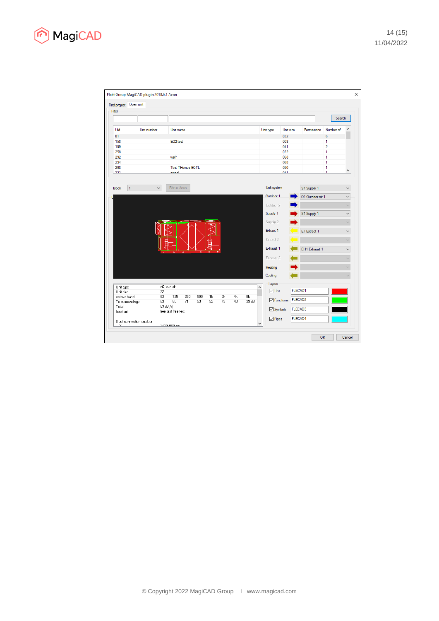

| Find project Open unit                          | Flakt Group MagiCAD plugin 2018.6.1 Acon |                     |                         |     |    |    |    |      |             |                           |                |                  |                |                              |
|-------------------------------------------------|------------------------------------------|---------------------|-------------------------|-----|----|----|----|------|-------------|---------------------------|----------------|------------------|----------------|------------------------------|
| Filter                                          |                                          |                     |                         |     |    |    |    |      |             |                           |                |                  |                |                              |
|                                                 |                                          |                     |                         |     |    |    |    |      |             |                           |                |                  | Search         |                              |
| Uid                                             | Unit number                              | Unit name           |                         |     |    |    |    |      |             | Unit type                 | Unit size      | Permissions      | Number of      | ∧                            |
| 81                                              |                                          |                     |                         |     |    |    |    |      |             | 032                       |                |                  | 6              |                              |
| 158                                             |                                          | EQ2 test            |                         |     |    |    |    |      |             | 008                       |                |                  | 1              |                              |
| 199                                             |                                          |                     |                         |     |    |    |    |      |             | 041                       |                |                  | $\overline{2}$ |                              |
| 258                                             |                                          |                     |                         |     |    |    |    |      |             | 032                       |                |                  | 1              |                              |
| 292                                             |                                          | wefr                |                         |     |    |    |    |      |             | 068                       |                |                  | 1              |                              |
| 294                                             |                                          |                     |                         |     |    |    |    |      |             | 068                       |                |                  | 1              |                              |
| 298                                             |                                          |                     | <b>Test THomas EQTL</b> |     |    |    |    |      |             | 050                       |                |                  | 1              |                              |
| 221                                             |                                          | amaal               |                         |     |    |    |    |      |             | 0.41                      |                |                  | ٠              | ٧                            |
| <b>Block</b><br>$\mathbf{1}$                    | $\checkmark$                             | Edit in Acon        |                         |     |    |    |    |      | Unit system |                           |                | S1 Supply 1      |                | $\checkmark$                 |
|                                                 |                                          |                     |                         |     |    |    |    |      |             | Outdoor 1                 |                | O1 Outdoor air 1 |                |                              |
|                                                 |                                          |                     |                         |     |    |    |    |      |             | Outdoor 2                 |                |                  |                | $\checkmark$<br>$\checkmark$ |
|                                                 |                                          |                     |                         |     |    |    |    |      |             |                           |                |                  |                |                              |
|                                                 |                                          |                     |                         |     |    |    |    |      |             | Supply 1                  |                | S1 Supply 1      |                | $\checkmark$                 |
|                                                 |                                          |                     |                         |     |    |    |    |      |             | Supply 2                  |                |                  |                | $\checkmark$                 |
|                                                 |                                          |                     |                         |     |    |    |    |      |             | Extract 1                 |                | E1 Extract 1     |                | $\checkmark$                 |
|                                                 |                                          |                     |                         |     |    |    |    |      |             | Extract 2                 |                |                  |                | $\vee$                       |
|                                                 |                                          |                     | ۰                       |     |    |    |    |      |             | Exhaust 1                 |                | EH1 Exhaust 1    |                | $\checkmark$                 |
|                                                 |                                          |                     |                         |     |    |    |    |      |             | Exhaust 2                 |                |                  |                |                              |
|                                                 |                                          |                     |                         |     |    |    |    |      |             | Heating                   |                |                  |                |                              |
|                                                 |                                          |                     |                         |     |    |    |    |      |             | Cooling                   |                |                  |                |                              |
| Unit type                                       |                                          | eQ, s/e air         |                         |     |    |    |    |      | ٨           | Layers                    |                |                  |                |                              |
| Unit size                                       | 32                                       |                     |                         |     |    |    |    |      |             | $\vee$ Unit               | <b>FLECAD1</b> |                  |                |                              |
| octave band                                     | 63                                       | 125                 | 250                     | 500 | 1k | 2k | 4k | 8k   |             |                           |                |                  |                |                              |
| To surroundings                                 | 63                                       | 60                  | 71                      | 53  | 52 | 49 | 43 | 39dB |             | $\triangledown$ Functions | <b>FLECAD2</b> |                  |                |                              |
| Total                                           |                                          | 63 dB(A)            |                         |     |    |    |    |      |             |                           |                |                  |                |                              |
| free text                                       |                                          | free text free text |                         |     |    |    |    |      |             | $\triangledown$ Symbols   | <b>FLECAD3</b> |                  |                |                              |
|                                                 |                                          |                     |                         |     |    |    |    |      |             | $\triangledown$ Pipes     | <b>FLECAD4</b> |                  |                |                              |
|                                                 |                                          |                     |                         |     |    |    |    |      |             |                           |                |                  |                |                              |
| Duct connection outdoor<br><b>Principal and</b> |                                          | 1.400-000 mm        |                         |     |    |    |    |      | ٧           |                           |                |                  |                |                              |